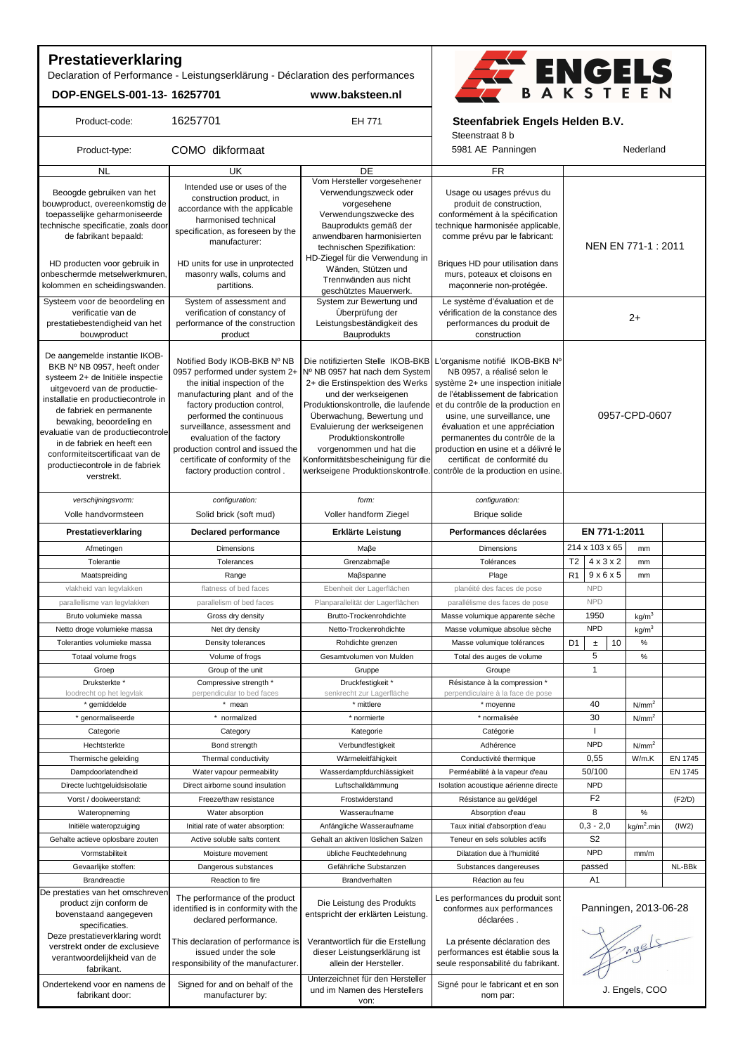# **Prestatieverklaring**

Product-code:

Declaration of Performance - Leistungserklärung - Déclaration des performances

16257701 EH 771

**DOP-ENGELS-001-13- 16257701 www.baksteen.nl**



 **Steenfabriek Engels Helden B.V.**

Steenstraat 8 b

| Product-type:                                                                                                                                                                                                                                                                                                                                                                           | COMO dikformaat                                                                                                                                                                                                                                                                                                                                                   |                                                                                                                                                                                                                                                                                       | Steenstraat op<br>5981 AE Panningen                                                                                                                                                                                                                                                                                                                                                                                                                                 | Nederland                               |                   |                |
|-----------------------------------------------------------------------------------------------------------------------------------------------------------------------------------------------------------------------------------------------------------------------------------------------------------------------------------------------------------------------------------------|-------------------------------------------------------------------------------------------------------------------------------------------------------------------------------------------------------------------------------------------------------------------------------------------------------------------------------------------------------------------|---------------------------------------------------------------------------------------------------------------------------------------------------------------------------------------------------------------------------------------------------------------------------------------|---------------------------------------------------------------------------------------------------------------------------------------------------------------------------------------------------------------------------------------------------------------------------------------------------------------------------------------------------------------------------------------------------------------------------------------------------------------------|-----------------------------------------|-------------------|----------------|
| <b>NL</b>                                                                                                                                                                                                                                                                                                                                                                               | UK                                                                                                                                                                                                                                                                                                                                                                | DE                                                                                                                                                                                                                                                                                    | $\overline{FR}$                                                                                                                                                                                                                                                                                                                                                                                                                                                     |                                         |                   |                |
| Beoogde gebruiken van het<br>bouwproduct, overeenkomstig de<br>toepasselijke geharmoniseerde<br>technische specificatie, zoals door<br>de fabrikant bepaald:                                                                                                                                                                                                                            | Intended use or uses of the<br>construction product, in<br>accordance with the applicable<br>harmonised technical<br>specification, as foreseen by the<br>manufacturer:                                                                                                                                                                                           | Vom Hersteller vorgesehener<br>Verwendungszweck oder<br>vorgesehene<br>Verwendungszwecke des<br>Bauprodukts gemäß der<br>anwendbaren harmonisierten<br>technischen Spezifikation:<br>HD-Ziegel für die Verwendung in                                                                  | Usage ou usages prévus du<br>produit de construction,<br>conformément à la spécification<br>technique harmonisée applicable,<br>comme prévu par le fabricant:                                                                                                                                                                                                                                                                                                       | NEN EN 771-1 : 2011                     |                   |                |
| HD producten voor gebruik in<br>onbeschermde metselwerkmuren,<br>kolommen en scheidingswanden.<br>Systeem voor de beoordeling en<br>verificatie van de<br>prestatiebestendigheid van het<br>bouwproduct                                                                                                                                                                                 | HD units for use in unprotected<br>masonry walls, colums and<br>partitions.<br>System of assessment and<br>verification of constancy of<br>performance of the construction<br>product                                                                                                                                                                             | Wänden, Stützen und<br>Trennwänden aus nicht<br>geschütztes Mauerwerk.<br>System zur Bewertung und<br>Überprüfung der<br>Leistungsbeständigkeit des<br>Bauprodukts                                                                                                                    | Briques HD pour utilisation dans<br>murs, poteaux et cloisons en<br>maconnerie non-protégée.<br>Le système d'évaluation et de<br>vérification de la constance des<br>performances du produit de<br>construction                                                                                                                                                                                                                                                     | $2+$                                    |                   |                |
| De aangemelde instantie IKOB-<br>BKB Nº NB 0957, heeft onder<br>systeem 2+ de Initiële inspectie<br>uitgevoerd van de productie-<br>installatie en productiecontrole in<br>de fabriek en permanente<br>bewaking, beoordeling en<br>evaluatie van de productiecontrole<br>in de fabriek en heeft een<br>conformiteitscertificaat van de<br>productiecontrole in de fabriek<br>verstrekt. | Notified Body IKOB-BKB Nº NB<br>0957 performed under system 2+<br>the initial inspection of the<br>manufacturing plant and of the<br>factory production control,<br>performed the continuous<br>surveillance, assessment and<br>evaluation of the factory<br>production control and issued the<br>certificate of conformity of the<br>factory production control. | Nº NB 0957 hat nach dem System<br>2+ die Erstinspektion des Werks<br>und der werkseigenen<br>Produktionskontrolle, die laufende<br>Überwachung, Bewertung und<br>Evaluierung der werkseigenen<br>Produktionskontrolle<br>vorgenommen und hat die<br>Konformitätsbescheinigung für die | Die notifizierten Stelle IKOB-BKB L'organisme notifié IKOB-BKB Nº<br>NB 0957, a réalisé selon le<br>système 2+ une inspection initiale<br>de l'établissement de fabrication<br>et du contrôle de la production en<br>usine, une surveillance, une<br>évaluation et une appréciation<br>permanentes du contrôle de la<br>production en usine et a délivré le<br>certificat de conformité du<br>werkseigene Produktionskontrolle. contrôle de la production en usine. | 0957-CPD-0607                           |                   |                |
| verschijningsvorm:<br>Volle handvormsteen                                                                                                                                                                                                                                                                                                                                               | configuration:<br>Solid brick (soft mud)                                                                                                                                                                                                                                                                                                                          | form:<br>Voller handform Ziegel                                                                                                                                                                                                                                                       | configuration:<br><b>Brique solide</b>                                                                                                                                                                                                                                                                                                                                                                                                                              |                                         |                   |                |
| Prestatieverklaring                                                                                                                                                                                                                                                                                                                                                                     | <b>Declared performance</b>                                                                                                                                                                                                                                                                                                                                       | Erklärte Leistung                                                                                                                                                                                                                                                                     | Performances déclarées                                                                                                                                                                                                                                                                                                                                                                                                                                              | EN 771-1:2011                           |                   |                |
| Afmetingen                                                                                                                                                                                                                                                                                                                                                                              | <b>Dimensions</b>                                                                                                                                                                                                                                                                                                                                                 | Maβe                                                                                                                                                                                                                                                                                  | <b>Dimensions</b>                                                                                                                                                                                                                                                                                                                                                                                                                                                   | 214 x 103 x 65                          | mm                |                |
| Tolerantie                                                                                                                                                                                                                                                                                                                                                                              | Tolerances                                                                                                                                                                                                                                                                                                                                                        | Grenzabmaße                                                                                                                                                                                                                                                                           | Tolérances                                                                                                                                                                                                                                                                                                                                                                                                                                                          | T <sub>2</sub><br>$4 \times 3 \times 2$ | mm                |                |
| Maatspreiding                                                                                                                                                                                                                                                                                                                                                                           | Range                                                                                                                                                                                                                                                                                                                                                             | Maßspanne                                                                                                                                                                                                                                                                             | Plage                                                                                                                                                                                                                                                                                                                                                                                                                                                               | R <sub>1</sub><br>$9 \times 6 \times 5$ | mm                |                |
| vlakheid van legvlakken                                                                                                                                                                                                                                                                                                                                                                 | flatness of bed faces                                                                                                                                                                                                                                                                                                                                             | Ebenheit der Lagerflächen                                                                                                                                                                                                                                                             | planéité des faces de pose                                                                                                                                                                                                                                                                                                                                                                                                                                          | <b>NPD</b>                              |                   |                |
| parallellisme van legvlakken                                                                                                                                                                                                                                                                                                                                                            | parallelism of bed faces                                                                                                                                                                                                                                                                                                                                          | Planparallelität der Lagerflächen                                                                                                                                                                                                                                                     | parallélisme des faces de pose                                                                                                                                                                                                                                                                                                                                                                                                                                      | <b>NPD</b>                              |                   |                |
| Bruto volumieke massa                                                                                                                                                                                                                                                                                                                                                                   | Gross dry density                                                                                                                                                                                                                                                                                                                                                 | Brutto-Trockenrohdichte                                                                                                                                                                                                                                                               | Masse volumique apparente sèche                                                                                                                                                                                                                                                                                                                                                                                                                                     | 1950                                    | kg/m <sup>3</sup> |                |
| Netto droge volumieke massa                                                                                                                                                                                                                                                                                                                                                             | Net dry density                                                                                                                                                                                                                                                                                                                                                   | Netto-Trockenrohdichte                                                                                                                                                                                                                                                                | Masse volumique absolue sèche                                                                                                                                                                                                                                                                                                                                                                                                                                       | <b>NPD</b>                              | kg/m <sup>3</sup> |                |
| Toleranties volumieke massa                                                                                                                                                                                                                                                                                                                                                             | Density tolerances                                                                                                                                                                                                                                                                                                                                                | Rohdichte grenzen                                                                                                                                                                                                                                                                     | Masse volumique tolérances                                                                                                                                                                                                                                                                                                                                                                                                                                          | D <sub>1</sub><br>10<br>$\pm$           | $\%$              |                |
| Totaal volume frogs                                                                                                                                                                                                                                                                                                                                                                     | Volume of frogs                                                                                                                                                                                                                                                                                                                                                   | Gesamtvolumen von Mulden                                                                                                                                                                                                                                                              | Total des auges de volume                                                                                                                                                                                                                                                                                                                                                                                                                                           | 5                                       | $\%$              |                |
| Groep                                                                                                                                                                                                                                                                                                                                                                                   | Group of the unit                                                                                                                                                                                                                                                                                                                                                 | Gruppe                                                                                                                                                                                                                                                                                | Groupe                                                                                                                                                                                                                                                                                                                                                                                                                                                              | $\mathbf{1}$                            |                   |                |
| Druksterkte*                                                                                                                                                                                                                                                                                                                                                                            | Compressive strength *                                                                                                                                                                                                                                                                                                                                            | Druckfestigkeit *                                                                                                                                                                                                                                                                     | Résistance à la compression *                                                                                                                                                                                                                                                                                                                                                                                                                                       |                                         |                   |                |
| loodrecht op het legvlak                                                                                                                                                                                                                                                                                                                                                                | perpendicular to bed faces                                                                                                                                                                                                                                                                                                                                        | senkrecht zur Lagerfläche                                                                                                                                                                                                                                                             | perpendiculaire à la face de pose                                                                                                                                                                                                                                                                                                                                                                                                                                   |                                         |                   |                |
| * gemiddelde                                                                                                                                                                                                                                                                                                                                                                            | * mean                                                                                                                                                                                                                                                                                                                                                            | * mittlere                                                                                                                                                                                                                                                                            | * moyenne                                                                                                                                                                                                                                                                                                                                                                                                                                                           | 40                                      | N/mm <sup>2</sup> |                |
| * genormaliseerde                                                                                                                                                                                                                                                                                                                                                                       | * normalized                                                                                                                                                                                                                                                                                                                                                      | * normierte                                                                                                                                                                                                                                                                           | * normalisée                                                                                                                                                                                                                                                                                                                                                                                                                                                        | 30                                      | N/mm <sup>2</sup> |                |
| Categorie                                                                                                                                                                                                                                                                                                                                                                               | Category                                                                                                                                                                                                                                                                                                                                                          | Kategorie                                                                                                                                                                                                                                                                             | Catégorie                                                                                                                                                                                                                                                                                                                                                                                                                                                           | $\mathbf{I}$                            |                   |                |
| Hechtsterkte                                                                                                                                                                                                                                                                                                                                                                            | Bond strength                                                                                                                                                                                                                                                                                                                                                     | Verbundfestigkeit                                                                                                                                                                                                                                                                     | Adhérence                                                                                                                                                                                                                                                                                                                                                                                                                                                           | <b>NPD</b>                              | N/mm <sup>2</sup> |                |
| Thermische geleiding                                                                                                                                                                                                                                                                                                                                                                    | Thermal conductivity                                                                                                                                                                                                                                                                                                                                              | Wärmeleitfähigkeit                                                                                                                                                                                                                                                                    | Conductivité thermique                                                                                                                                                                                                                                                                                                                                                                                                                                              | 0,55                                    | W/m.K             | EN 1745        |
| Dampdoorlatendheid                                                                                                                                                                                                                                                                                                                                                                      | Water vapour permeability                                                                                                                                                                                                                                                                                                                                         | Wasserdampfdurchlässigkeit                                                                                                                                                                                                                                                            | Perméabilité à la vapeur d'eau                                                                                                                                                                                                                                                                                                                                                                                                                                      | 50/100                                  |                   | <b>EN 1745</b> |
| Directe luchtgeluidsisolatie                                                                                                                                                                                                                                                                                                                                                            | Direct airborne sound insulation                                                                                                                                                                                                                                                                                                                                  | Luftschalldämmung                                                                                                                                                                                                                                                                     | Isolation acoustique aérienne directe                                                                                                                                                                                                                                                                                                                                                                                                                               | <b>NPD</b>                              |                   |                |
| Vorst / dooiweerstand:                                                                                                                                                                                                                                                                                                                                                                  | Freeze/thaw resistance                                                                                                                                                                                                                                                                                                                                            | Frostwiderstand                                                                                                                                                                                                                                                                       | Résistance au gel/dégel                                                                                                                                                                                                                                                                                                                                                                                                                                             | F <sub>2</sub>                          |                   | (F2/D)         |
| Wateropneming                                                                                                                                                                                                                                                                                                                                                                           | Water absorption                                                                                                                                                                                                                                                                                                                                                  | Wasseraufname                                                                                                                                                                                                                                                                         | Absorption d'eau                                                                                                                                                                                                                                                                                                                                                                                                                                                    | 8                                       | $\%$              |                |
| Initiële wateropzuiging                                                                                                                                                                                                                                                                                                                                                                 | Initial rate of water absorption:                                                                                                                                                                                                                                                                                                                                 | Anfängliche Wasseraufname                                                                                                                                                                                                                                                             | Taux initial d'absorption d'eau                                                                                                                                                                                                                                                                                                                                                                                                                                     | $0,3 - 2,0$                             | $kg/m2$ .min      | (1W2)          |
| Gehalte actieve oplosbare zouten                                                                                                                                                                                                                                                                                                                                                        | Active soluble salts content                                                                                                                                                                                                                                                                                                                                      | Gehalt an aktiven löslichen Salzen                                                                                                                                                                                                                                                    | Teneur en sels solubles actifs                                                                                                                                                                                                                                                                                                                                                                                                                                      | S2                                      |                   |                |
| Vormstabiliteit                                                                                                                                                                                                                                                                                                                                                                         | Moisture movement                                                                                                                                                                                                                                                                                                                                                 | übliche Feuchtedehnung                                                                                                                                                                                                                                                                | Dilatation due à l'humidité                                                                                                                                                                                                                                                                                                                                                                                                                                         | <b>NPD</b>                              | mm/m              |                |
| Gevaarlijke stoffen:                                                                                                                                                                                                                                                                                                                                                                    | Dangerous substances                                                                                                                                                                                                                                                                                                                                              | Gefährliche Substanzen                                                                                                                                                                                                                                                                | Substances dangereuses                                                                                                                                                                                                                                                                                                                                                                                                                                              | passed                                  |                   | NL-BBk         |
| <b>Brandreactie</b>                                                                                                                                                                                                                                                                                                                                                                     | Reaction to fire                                                                                                                                                                                                                                                                                                                                                  | Brandverhalten                                                                                                                                                                                                                                                                        | Réaction au feu                                                                                                                                                                                                                                                                                                                                                                                                                                                     | A <sub>1</sub>                          |                   |                |
| De prestaties van het omschrever<br>product zijn conform de<br>bovenstaand aangegeven<br>specificaties.<br>Deze prestatieverklaring wordt                                                                                                                                                                                                                                               | The performance of the product<br>identified is in conformity with the<br>declared performance.                                                                                                                                                                                                                                                                   | Die Leistung des Produkts<br>entspricht der erklärten Leistung.                                                                                                                                                                                                                       | Les performances du produit sont<br>conformes aux performances<br>déclarées.                                                                                                                                                                                                                                                                                                                                                                                        | Panningen, 2013-06-28                   |                   |                |
| verstrekt onder de exclusieve<br>verantwoordelijkheid van de<br>fabrikant.                                                                                                                                                                                                                                                                                                              | This declaration of performance is<br>issued under the sole<br>responsibility of the manufacturer.                                                                                                                                                                                                                                                                | Verantwortlich für die Erstellung<br>dieser Leistungserklärung ist<br>allein der Hersteller.                                                                                                                                                                                          | La présente déclaration des<br>performances est établie sous la<br>seule responsabilité du fabrikant.                                                                                                                                                                                                                                                                                                                                                               | Fragels                                 |                   |                |
| Ondertekend voor en namens de<br>fabrikant door:                                                                                                                                                                                                                                                                                                                                        | Signed for and on behalf of the<br>manufacturer by:                                                                                                                                                                                                                                                                                                               | Unterzeichnet für den Hersteller<br>und im Namen des Herstellers<br>von:                                                                                                                                                                                                              | Signé pour le fabricant et en son<br>nom par:                                                                                                                                                                                                                                                                                                                                                                                                                       | J. Engels, COO                          |                   |                |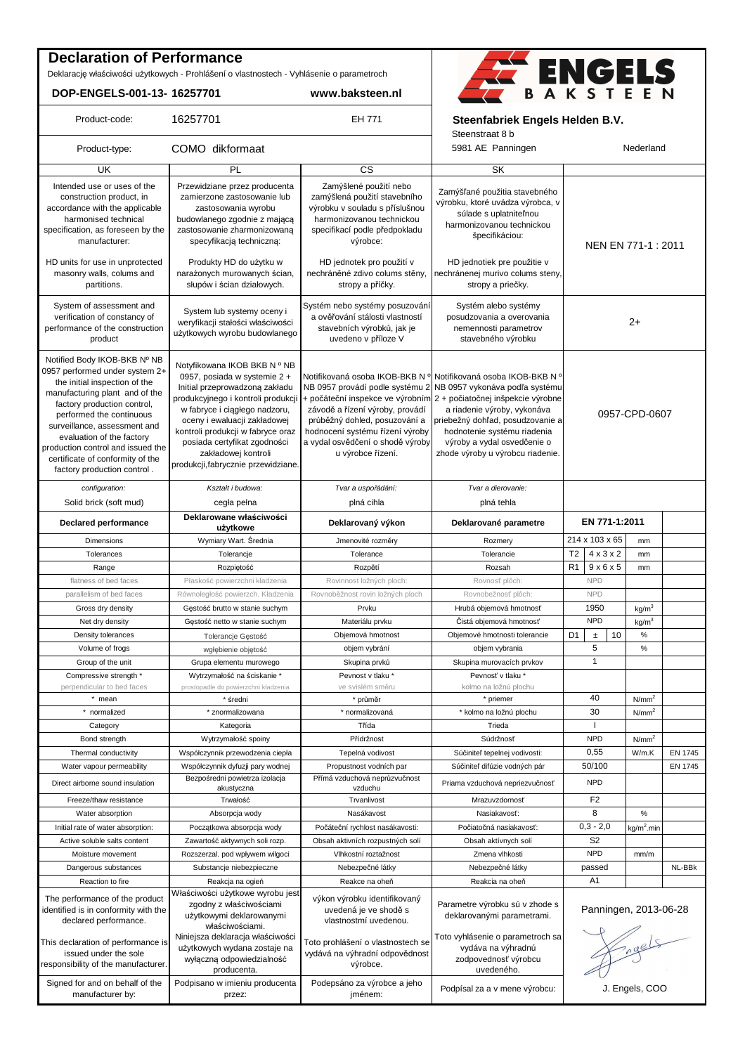### **Declaration of Performance**

Deklarację właściwości użytkowych - Prohlášení o vlastnostech - Vyhlásenie o parametroch

**DOP-ENGELS-001-13- 16257701 www.baksteen.nl**



Product-code: 16257701 **EH 771** Steenfabriek Engels Helden B.V.

|                                                                                                                                                                                                                                                                                                                                                                   |                                                                                                                                                                                                                                                                                                                                         |                                                                                                                                                              | Steenstraat 8 b                                                                                                                                                                                                                                                                                                                                                                                    |                               |                   |                |
|-------------------------------------------------------------------------------------------------------------------------------------------------------------------------------------------------------------------------------------------------------------------------------------------------------------------------------------------------------------------|-----------------------------------------------------------------------------------------------------------------------------------------------------------------------------------------------------------------------------------------------------------------------------------------------------------------------------------------|--------------------------------------------------------------------------------------------------------------------------------------------------------------|----------------------------------------------------------------------------------------------------------------------------------------------------------------------------------------------------------------------------------------------------------------------------------------------------------------------------------------------------------------------------------------------------|-------------------------------|-------------------|----------------|
| Product-type:                                                                                                                                                                                                                                                                                                                                                     | COMO dikformaat                                                                                                                                                                                                                                                                                                                         |                                                                                                                                                              | 5981 AE Panningen                                                                                                                                                                                                                                                                                                                                                                                  | Nederland                     |                   |                |
| UK                                                                                                                                                                                                                                                                                                                                                                | PL                                                                                                                                                                                                                                                                                                                                      | CS                                                                                                                                                           | SK                                                                                                                                                                                                                                                                                                                                                                                                 |                               |                   |                |
| Intended use or uses of the<br>construction product, in<br>accordance with the applicable<br>harmonised technical<br>specification, as foreseen by the                                                                                                                                                                                                            | Przewidziane przez producenta<br>zamierzone zastosowanie lub<br>zastosowania wyrobu<br>budowlanego zgodnie z mającą<br>zastosowanie zharmonizowaną                                                                                                                                                                                      | Zamýšlené použití nebo<br>zamýšlená použití stavebního<br>výrobku v souladu s příslušnou<br>harmonizovanou technickou<br>specifikací podle předpokladu       | Zamýšľané použitia stavebného<br>výrobku, ktoré uvádza výrobca, v<br>súlade s uplatniteľnou<br>harmonizovanou technickou                                                                                                                                                                                                                                                                           |                               |                   |                |
| manufacturer:<br>HD units for use in unprotected<br>masonry walls, colums and                                                                                                                                                                                                                                                                                     | specyfikacją techniczną:<br>Produkty HD do użytku w<br>narażonych murowanych ścian,                                                                                                                                                                                                                                                     | výrobce:<br>HD jednotek pro použití v<br>nechráněné zdivo colums stěny,                                                                                      | špecifikáciou:<br>HD jednotiek pre použitie v<br>nechránenej murivo colums steny,                                                                                                                                                                                                                                                                                                                  | NEN EN 771-1 : 2011           |                   |                |
| partitions.                                                                                                                                                                                                                                                                                                                                                       | słupów i ścian działowych.                                                                                                                                                                                                                                                                                                              | stropy a příčky.                                                                                                                                             | stropy a priečky.                                                                                                                                                                                                                                                                                                                                                                                  |                               |                   |                |
| System of assessment and<br>verification of constancy of<br>performance of the construction<br>product                                                                                                                                                                                                                                                            | System lub systemy oceny i<br>weryfikacji stałości właściwości<br>użytkowych wyrobu budowlanego                                                                                                                                                                                                                                         | Systém nebo systémy posuzování<br>a ověřování stálosti vlastností<br>stavebních výrobků, jak je<br>uvedeno v příloze V                                       | Systém alebo systémy<br>posudzovania a overovania<br>nemennosti parametrov<br>stavebného výrobku                                                                                                                                                                                                                                                                                                   | $2+$                          |                   |                |
| Notified Body IKOB-BKB Nº NB<br>0957 performed under system 2+<br>the initial inspection of the<br>manufacturing plant and of the<br>factory production control,<br>performed the continuous<br>surveillance, assessment and<br>evaluation of the factory<br>production control and issued the<br>certificate of conformity of the<br>factory production control. | Notyfikowana IKOB BKB N º NB<br>0957, posiada w systemie 2 +<br>Initial przeprowadzoną zakładu<br>produkcyjnego i kontroli produkcji<br>w fabryce i ciągłego nadzoru,<br>oceny i ewaluacji zakładowej<br>kontroli produkcji w fabryce oraz<br>posiada certyfikat zgodności<br>zakładowej kontroli<br>produkcji,fabrycznie przewidziane. | závodě a řízení výroby, provádí<br>průběžný dohled, posuzování a<br>hodnocení systému řízení výroby<br>a vydal osvědčení o shodě výroby<br>u výrobce řízení. | Notifikovaná osoba IKOB-BKB N <sup>o</sup> Notifikovaná osoba IKOB-BKB N <sup>o</sup><br>NB 0957 provádí podle systému 2 NB 0957 vykonáva podľa systému<br>+ počáteční inspekce ve výrobním 2 + počiatočnej inšpekcie výrobne<br>a riadenie výroby, vykonáva<br>priebežný dohľad, posudzovanie a<br>hodnotenie systému riadenia<br>výroby a vydal osvedčenie o<br>zhode výroby u výrobcu riadenie. | 0957-CPD-0607                 |                   |                |
| configuration:                                                                                                                                                                                                                                                                                                                                                    | Kształt i budowa:                                                                                                                                                                                                                                                                                                                       | Tvar a uspořádání:                                                                                                                                           | Tvar a dierovanie:                                                                                                                                                                                                                                                                                                                                                                                 |                               |                   |                |
| Solid brick (soft mud)<br><b>Declared performance</b>                                                                                                                                                                                                                                                                                                             | cegła pełna<br>Deklarowane właściwości                                                                                                                                                                                                                                                                                                  | plná cihla<br>Deklarovaný výkon                                                                                                                              | plná tehla<br>Deklarované parametre                                                                                                                                                                                                                                                                                                                                                                | EN 771-1:2011                 |                   |                |
| Dimensions                                                                                                                                                                                                                                                                                                                                                        | użytkowe<br>Wymiary Wart. Średnia                                                                                                                                                                                                                                                                                                       | Jmenovité rozměry                                                                                                                                            | Rozmery                                                                                                                                                                                                                                                                                                                                                                                            | 214 x 103 x 65                | mm                |                |
| Tolerances                                                                                                                                                                                                                                                                                                                                                        |                                                                                                                                                                                                                                                                                                                                         | Tolerance                                                                                                                                                    | Tolerancie                                                                                                                                                                                                                                                                                                                                                                                         | $4 \times 3 \times 2$         |                   |                |
|                                                                                                                                                                                                                                                                                                                                                                   | Tolerancje                                                                                                                                                                                                                                                                                                                              |                                                                                                                                                              |                                                                                                                                                                                                                                                                                                                                                                                                    | Т2                            | mm                |                |
| Range                                                                                                                                                                                                                                                                                                                                                             | Rozpiętość                                                                                                                                                                                                                                                                                                                              | Rozpětí                                                                                                                                                      | Rozsah                                                                                                                                                                                                                                                                                                                                                                                             | R1<br>$9 \times 6 \times 5$   | mm                |                |
| flatness of bed faces                                                                                                                                                                                                                                                                                                                                             | Płaskość powierzchni kładzenia                                                                                                                                                                                                                                                                                                          | Rovinnost ložných ploch:                                                                                                                                     | Rovnosť plôch:                                                                                                                                                                                                                                                                                                                                                                                     | <b>NPD</b><br><b>NPD</b>      |                   |                |
| parallelism of bed faces                                                                                                                                                                                                                                                                                                                                          | Równoległość powierzch. Kładzenia                                                                                                                                                                                                                                                                                                       | Rovnoběžnost rovin ložných ploch                                                                                                                             | Rovnobežnosť plôch:                                                                                                                                                                                                                                                                                                                                                                                |                               |                   |                |
| Gross dry density                                                                                                                                                                                                                                                                                                                                                 | Gęstość brutto w stanie suchym                                                                                                                                                                                                                                                                                                          | Prvku                                                                                                                                                        | Hrubá objemová hmotnosť                                                                                                                                                                                                                                                                                                                                                                            | 1950                          | kg/m <sup>3</sup> |                |
| Net dry density                                                                                                                                                                                                                                                                                                                                                   | Gęstość netto w stanie suchym                                                                                                                                                                                                                                                                                                           | Materiálu prvku                                                                                                                                              | Čistá objemová hmotnosť                                                                                                                                                                                                                                                                                                                                                                            | <b>NPD</b>                    | kg/m <sup>3</sup> |                |
| Density tolerances                                                                                                                                                                                                                                                                                                                                                | Tolerancje Gęstość                                                                                                                                                                                                                                                                                                                      | Objemová hmotnost                                                                                                                                            | Objemové hmotnosti tolerancie                                                                                                                                                                                                                                                                                                                                                                      | 10<br>D <sub>1</sub><br>$\pm$ | %                 |                |
| Volume of frogs                                                                                                                                                                                                                                                                                                                                                   | wgłębienie objętość                                                                                                                                                                                                                                                                                                                     | objem vybrání                                                                                                                                                | objem vybrania                                                                                                                                                                                                                                                                                                                                                                                     | 5                             | $\%$              |                |
| Group of the unit                                                                                                                                                                                                                                                                                                                                                 | Grupa elementu murowego                                                                                                                                                                                                                                                                                                                 | Skupina prvků                                                                                                                                                | Skupina murovacích prvkov                                                                                                                                                                                                                                                                                                                                                                          |                               |                   |                |
| Compressive strength *                                                                                                                                                                                                                                                                                                                                            |                                                                                                                                                                                                                                                                                                                                         |                                                                                                                                                              |                                                                                                                                                                                                                                                                                                                                                                                                    | $\mathbf{1}$                  |                   |                |
| perpendicular to bed faces                                                                                                                                                                                                                                                                                                                                        | Wytrzymałość na ściskanie *                                                                                                                                                                                                                                                                                                             | Pevnost v tlaku *                                                                                                                                            | Pevnosť v tlaku*                                                                                                                                                                                                                                                                                                                                                                                   |                               |                   |                |
|                                                                                                                                                                                                                                                                                                                                                                   | prostopadle do powierzchni kładzenia                                                                                                                                                                                                                                                                                                    | ve svislém směru                                                                                                                                             | kolmo na ložnú plochu                                                                                                                                                                                                                                                                                                                                                                              |                               |                   |                |
| * mean                                                                                                                                                                                                                                                                                                                                                            | * średni                                                                                                                                                                                                                                                                                                                                | * průměr                                                                                                                                                     | * priemer                                                                                                                                                                                                                                                                                                                                                                                          | 40                            | N/mm <sup>2</sup> |                |
| * normalized                                                                                                                                                                                                                                                                                                                                                      | * znormalizowana                                                                                                                                                                                                                                                                                                                        | * normalizovaná                                                                                                                                              | * kolmo na ložnú plochu                                                                                                                                                                                                                                                                                                                                                                            | 30                            | N/mm <sup>2</sup> |                |
| Category                                                                                                                                                                                                                                                                                                                                                          | Kategoria                                                                                                                                                                                                                                                                                                                               | Třída                                                                                                                                                        | Trieda                                                                                                                                                                                                                                                                                                                                                                                             | $\mathbf{I}$                  |                   |                |
| Bond strength                                                                                                                                                                                                                                                                                                                                                     | Wytrzymałość spoiny                                                                                                                                                                                                                                                                                                                     | Přídržnost                                                                                                                                                   | Súdržnosť                                                                                                                                                                                                                                                                                                                                                                                          | <b>NPD</b>                    | N/mm <sup>2</sup> |                |
| Thermal conductivity                                                                                                                                                                                                                                                                                                                                              | Współczynnik przewodzenia ciepła                                                                                                                                                                                                                                                                                                        | Tepelná vodivost                                                                                                                                             | Súčiniteľ tepelnej vodivosti:                                                                                                                                                                                                                                                                                                                                                                      | 0,55                          | W/m.K             | <b>EN 1745</b> |
| Water vapour permeability                                                                                                                                                                                                                                                                                                                                         | Współczynnik dyfuzji pary wodnej                                                                                                                                                                                                                                                                                                        | Propustnost vodních par                                                                                                                                      | Súčiniteľ difúzie vodných pár                                                                                                                                                                                                                                                                                                                                                                      | 50/100                        |                   | EN 1745        |
| Direct airborne sound insulation                                                                                                                                                                                                                                                                                                                                  | Bezpośredni powietrza izolacja<br>akustyczna                                                                                                                                                                                                                                                                                            | Přímá vzduchová neprůzvučnost<br>vzduchu                                                                                                                     | Priama vzduchová nepriezvučnosť                                                                                                                                                                                                                                                                                                                                                                    | <b>NPD</b>                    |                   |                |
| Freeze/thaw resistance                                                                                                                                                                                                                                                                                                                                            | Trwałość                                                                                                                                                                                                                                                                                                                                | Trvanlivost                                                                                                                                                  | Mrazuvzdornosť                                                                                                                                                                                                                                                                                                                                                                                     | F <sub>2</sub>                |                   |                |
| Water absorption                                                                                                                                                                                                                                                                                                                                                  | Absorpcja wody                                                                                                                                                                                                                                                                                                                          | Nasákavost                                                                                                                                                   | Nasiakavosť:                                                                                                                                                                                                                                                                                                                                                                                       | 8                             | $\%$              |                |
| Initial rate of water absorption:                                                                                                                                                                                                                                                                                                                                 | Początkowa absorpcja wody                                                                                                                                                                                                                                                                                                               | Počáteční rychlost nasákavosti:                                                                                                                              | Počiatočná nasiakavosť:                                                                                                                                                                                                                                                                                                                                                                            | $0,3 - 2,0$                   | $kg/m2$ .min      |                |
| Active soluble salts content                                                                                                                                                                                                                                                                                                                                      | Zawartość aktywnych soli rozp.                                                                                                                                                                                                                                                                                                          | Obsah aktivních rozpustných solí                                                                                                                             | Obsah aktívnych solí                                                                                                                                                                                                                                                                                                                                                                               | S <sub>2</sub>                |                   |                |
| Moisture movement                                                                                                                                                                                                                                                                                                                                                 | Rozszerzal. pod wpływem wilgoci                                                                                                                                                                                                                                                                                                         | Vlhkostní roztažnost                                                                                                                                         | Zmena vlhkosti                                                                                                                                                                                                                                                                                                                                                                                     | <b>NPD</b>                    | mm/m              |                |
| Dangerous substances                                                                                                                                                                                                                                                                                                                                              | Substancje niebezpieczne                                                                                                                                                                                                                                                                                                                | Nebezpečné látky                                                                                                                                             | Nebezpečné látky                                                                                                                                                                                                                                                                                                                                                                                   | passed                        |                   | NL-BBk         |
| Reaction to fire                                                                                                                                                                                                                                                                                                                                                  | Reakcja na ogień                                                                                                                                                                                                                                                                                                                        | Reakce na oheň                                                                                                                                               | Reakcia na oheň                                                                                                                                                                                                                                                                                                                                                                                    | A <sub>1</sub>                |                   |                |
| The performance of the product<br>identified is in conformity with the<br>declared performance.                                                                                                                                                                                                                                                                   | Właściwości użytkowe wyrobu jest<br>zgodny z właściwościami<br>użytkowymi deklarowanymi<br>właściwościami.                                                                                                                                                                                                                              | výkon výrobku identifikovaný<br>uvedená je ve shodě s<br>vlastnostmí uvedenou.                                                                               | Parametre výrobku sú v zhode s<br>deklarovanými parametrami.                                                                                                                                                                                                                                                                                                                                       | Panningen, 2013-06-28         |                   |                |
| This declaration of performance is<br>issued under the sole<br>responsibility of the manufacturer.                                                                                                                                                                                                                                                                | Niniejsza deklaracja właściwości<br>użytkowych wydana zostaje na<br>wyłączną odpowiedzialność<br>producenta.                                                                                                                                                                                                                            | Toto prohlášení o vlastnostech se<br>vydává na výhradní odpovědnost<br>výrobce.                                                                              | Toto vyhlásenie o parametroch sa<br>vydáva na výhradnú<br>zodpovednosť výrobcu<br>uvedeného.                                                                                                                                                                                                                                                                                                       | Fragels                       |                   |                |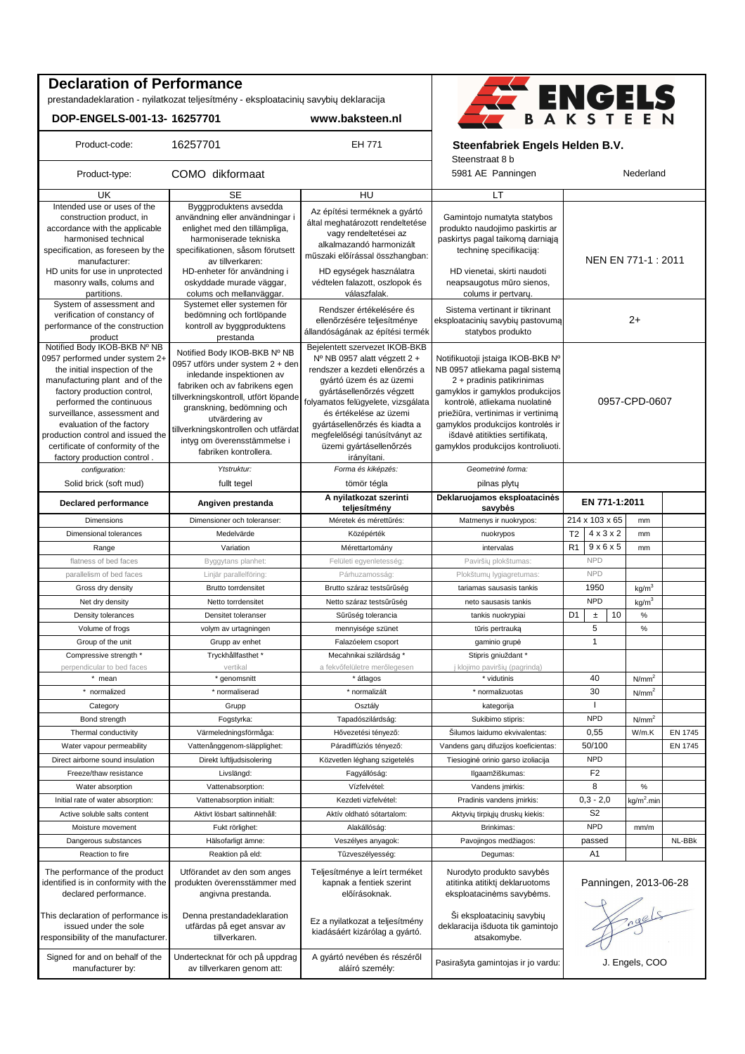## **Declaration of Performance**

prestandadeklaration - nyilatkozat teljesítmény - eksploatacinių savybių deklaracija

**DOP-ENGELS-001-13- 16257701 www.baksteen.nl**



#### Product-code: 16257701 **EH 771** Steenfabriek Engels Helden B.V.

Steenstraat 8 b

| Product-type:                                                                                                                                                                                                                                                                                                                                                     | COMO dikformaat                                                                                                                                                                                                                                                                                                         |                                                                                                                                                                                                                                                                                                                                       | 5981 AE Panningen                                                                                                                                                                                                                                                                                                         |                                         | Nederland              |         |
|-------------------------------------------------------------------------------------------------------------------------------------------------------------------------------------------------------------------------------------------------------------------------------------------------------------------------------------------------------------------|-------------------------------------------------------------------------------------------------------------------------------------------------------------------------------------------------------------------------------------------------------------------------------------------------------------------------|---------------------------------------------------------------------------------------------------------------------------------------------------------------------------------------------------------------------------------------------------------------------------------------------------------------------------------------|---------------------------------------------------------------------------------------------------------------------------------------------------------------------------------------------------------------------------------------------------------------------------------------------------------------------------|-----------------------------------------|------------------------|---------|
| UK                                                                                                                                                                                                                                                                                                                                                                | SE                                                                                                                                                                                                                                                                                                                      | HU                                                                                                                                                                                                                                                                                                                                    | LT                                                                                                                                                                                                                                                                                                                        |                                         |                        |         |
| Intended use or uses of the<br>construction product, in<br>accordance with the applicable<br>harmonised technical<br>specification, as foreseen by the<br>manufacturer:<br>HD units for use in unprotected                                                                                                                                                        | Byggproduktens avsedda<br>användning eller användningar i<br>enlighet med den tillämpliga,<br>harmoniserade tekniska<br>specifikationen, såsom förutsett<br>av tillverkaren:<br>HD-enheter för användning i                                                                                                             | Az építési terméknek a gyártó<br>által meghatározott rendeltetése<br>vagy rendeltetései az<br>alkalmazandó harmonizált<br>műszaki előírással összhangban:<br>HD egységek használatra                                                                                                                                                  | Gamintojo numatyta statybos<br>produkto naudojimo paskirtis ar<br>paskirtys pagal taikomą darniąją<br>techninę specifikaciją:<br>HD vienetai, skirti naudoti                                                                                                                                                              | NEN EN 771-1 : 2011                     |                        |         |
| masonry walls, colums and<br>partitions.                                                                                                                                                                                                                                                                                                                          | oskyddade murade väggar,<br>colums och mellanväggar.                                                                                                                                                                                                                                                                    | védtelen falazott, oszlopok és<br>válaszfalak.                                                                                                                                                                                                                                                                                        | neapsaugotus mūro sienos,<br>colums ir pertvary.                                                                                                                                                                                                                                                                          |                                         |                        |         |
| System of assessment and<br>verification of constancy of<br>performance of the construction<br>product                                                                                                                                                                                                                                                            | Systemet eller systemen för<br>bedömning och fortlöpande<br>kontroll av byggproduktens<br>prestanda                                                                                                                                                                                                                     | Rendszer értékelésére és<br>ellenőrzésére teljesítménye<br>állandóságának az építési termék                                                                                                                                                                                                                                           | Sistema vertinant ir tikrinant<br>eksploatacinių savybių pastovumą<br>statybos produkto                                                                                                                                                                                                                                   | $2+$                                    |                        |         |
| Notified Body IKOB-BKB Nº NB<br>0957 performed under system 2+<br>the initial inspection of the<br>manufacturing plant and of the<br>factory production control,<br>performed the continuous<br>surveillance, assessment and<br>evaluation of the factory<br>production control and issued the<br>certificate of conformity of the<br>factory production control. | Notified Body IKOB-BKB Nº NB<br>0957 utförs under system 2 + den<br>inledande inspektionen av<br>fabriken och av fabrikens egen<br>tillverkningskontroll, utfört löpande<br>granskning, bedömning och<br>utvärdering av<br>tillverkningskontrollen och utfärdat<br>intyg om överensstämmelse i<br>fabriken kontrollera. | Bejelentett szervezet IKOB-BKB<br>Nº NB 0957 alatt végzett 2 +<br>rendszer a kezdeti ellenőrzés a<br>gyártó üzem és az üzemi<br>gyártásellenőrzés végzett<br>folyamatos felügyelete, vizsgálata<br>és értékelése az üzemi<br>gyártásellenőrzés és kiadta a<br>megfelelőségi tanúsítványt az<br>üzemi gyártásellenőrzés<br>irányítani. | Notifikuotoji įstaiga IKOB-BKB Nº<br>NB 0957 atliekama pagal sistema<br>2 + pradinis patikrinimas<br>gamyklos ir gamyklos produkcijos<br>kontrolė, atliekama nuolatinė<br>priežiūra, vertinimas ir vertinimą<br>gamyklos produkcijos kontrolės ir<br>išdavė atitikties sertifikata,<br>gamyklos produkcijos kontroliuoti. | 0957-CPD-0607                           |                        |         |
| configuration:                                                                                                                                                                                                                                                                                                                                                    | Ytstruktur:                                                                                                                                                                                                                                                                                                             | Forma és kiképzés:                                                                                                                                                                                                                                                                                                                    | Geometrinė forma:                                                                                                                                                                                                                                                                                                         |                                         |                        |         |
| Solid brick (soft mud)                                                                                                                                                                                                                                                                                                                                            | fullt tegel                                                                                                                                                                                                                                                                                                             | tömör tégla                                                                                                                                                                                                                                                                                                                           | pilnas plytų                                                                                                                                                                                                                                                                                                              |                                         |                        |         |
| <b>Declared performance</b>                                                                                                                                                                                                                                                                                                                                       | Angiven prestanda                                                                                                                                                                                                                                                                                                       | A nyilatkozat szerinti<br>teljesítmény                                                                                                                                                                                                                                                                                                | Deklaruojamos eksploatacinės<br>savybės                                                                                                                                                                                                                                                                                   | EN 771-1:2011                           |                        |         |
| Dimensions                                                                                                                                                                                                                                                                                                                                                        | Dimensioner och toleranser:                                                                                                                                                                                                                                                                                             | Méretek és mérettűrés:                                                                                                                                                                                                                                                                                                                | Matmenys ir nuokrypos:                                                                                                                                                                                                                                                                                                    | 214 x 103 x 65                          | mm                     |         |
| Dimensional tolerances                                                                                                                                                                                                                                                                                                                                            | Medelvärde                                                                                                                                                                                                                                                                                                              | Középérték                                                                                                                                                                                                                                                                                                                            | nuokrypos                                                                                                                                                                                                                                                                                                                 | $4 \times 3 \times 2$<br>T <sub>2</sub> | mm                     |         |
| Range                                                                                                                                                                                                                                                                                                                                                             | Variation                                                                                                                                                                                                                                                                                                               | Mérettartomány                                                                                                                                                                                                                                                                                                                        | intervalas                                                                                                                                                                                                                                                                                                                | R <sub>1</sub><br>$9 \times 6 \times 5$ | mm                     |         |
| flatness of bed faces                                                                                                                                                                                                                                                                                                                                             | Byggytans planhet:                                                                                                                                                                                                                                                                                                      | Felületi egyenletesség:                                                                                                                                                                                                                                                                                                               | Paviršių plokštumas:                                                                                                                                                                                                                                                                                                      | <b>NPD</b>                              |                        |         |
| parallelism of bed faces                                                                                                                                                                                                                                                                                                                                          | Linjär parallelföring:                                                                                                                                                                                                                                                                                                  | Párhuzamosság                                                                                                                                                                                                                                                                                                                         | Plokštumų lygiagretumas:                                                                                                                                                                                                                                                                                                  | <b>NPD</b>                              |                        |         |
| Gross dry density                                                                                                                                                                                                                                                                                                                                                 | <b>Brutto torrdensitet</b>                                                                                                                                                                                                                                                                                              | Brutto száraz testsűrűség                                                                                                                                                                                                                                                                                                             | tariamas sausasis tankis                                                                                                                                                                                                                                                                                                  | 1950                                    | kg/m <sup>3</sup>      |         |
| Net dry density                                                                                                                                                                                                                                                                                                                                                   | Netto torrdensitet                                                                                                                                                                                                                                                                                                      | Netto száraz testsűrűség                                                                                                                                                                                                                                                                                                              | neto sausasis tankis                                                                                                                                                                                                                                                                                                      | <b>NPD</b>                              | kg/m <sup>3</sup>      |         |
| Density tolerances                                                                                                                                                                                                                                                                                                                                                | Densitet toleranser                                                                                                                                                                                                                                                                                                     | Sűrűség tolerancia                                                                                                                                                                                                                                                                                                                    | tankis nuokrypiai                                                                                                                                                                                                                                                                                                         | D <sub>1</sub><br>10<br>$\pm$           | $\%$                   |         |
| Volume of frogs                                                                                                                                                                                                                                                                                                                                                   | volym av urtagningen                                                                                                                                                                                                                                                                                                    | mennyisége szünet                                                                                                                                                                                                                                                                                                                     | tūris pertrauką                                                                                                                                                                                                                                                                                                           | 5                                       | $\%$                   |         |
| Group of the unit                                                                                                                                                                                                                                                                                                                                                 | Grupp av enhet                                                                                                                                                                                                                                                                                                          | Falazóelem csoport                                                                                                                                                                                                                                                                                                                    | gaminio grupė                                                                                                                                                                                                                                                                                                             | $\mathbf{1}$                            |                        |         |
| Compressive strength *                                                                                                                                                                                                                                                                                                                                            | Tryckhållfasthet*                                                                                                                                                                                                                                                                                                       | Mecahnikai szilárdság*                                                                                                                                                                                                                                                                                                                | Stipris gniuždant*                                                                                                                                                                                                                                                                                                        |                                         |                        |         |
| perpendicular to bed faces                                                                                                                                                                                                                                                                                                                                        | vertikal                                                                                                                                                                                                                                                                                                                | a fekvőfelületre merőlegesen                                                                                                                                                                                                                                                                                                          | j klojimo paviršių (pagrindą)                                                                                                                                                                                                                                                                                             |                                         |                        |         |
| * mean                                                                                                                                                                                                                                                                                                                                                            | * genomsnitt                                                                                                                                                                                                                                                                                                            | * átlagos                                                                                                                                                                                                                                                                                                                             | * vidutinis                                                                                                                                                                                                                                                                                                               | 40                                      | N/mm <sup>2</sup>      |         |
| * normalized                                                                                                                                                                                                                                                                                                                                                      | * normaliserad                                                                                                                                                                                                                                                                                                          | * normalizált                                                                                                                                                                                                                                                                                                                         | * normalizuotas                                                                                                                                                                                                                                                                                                           | 30                                      | N/mm <sup>2</sup>      |         |
| Category                                                                                                                                                                                                                                                                                                                                                          | Grupp                                                                                                                                                                                                                                                                                                                   | Osztály                                                                                                                                                                                                                                                                                                                               | kategorija                                                                                                                                                                                                                                                                                                                |                                         |                        |         |
| Bond strength                                                                                                                                                                                                                                                                                                                                                     | Fogstyrka:                                                                                                                                                                                                                                                                                                              | Tapadószilárdság:                                                                                                                                                                                                                                                                                                                     | Sukibimo stipris:                                                                                                                                                                                                                                                                                                         | <b>NPD</b>                              | N/mm <sup>2</sup>      |         |
|                                                                                                                                                                                                                                                                                                                                                                   |                                                                                                                                                                                                                                                                                                                         |                                                                                                                                                                                                                                                                                                                                       |                                                                                                                                                                                                                                                                                                                           |                                         |                        |         |
| Thermal conductivity                                                                                                                                                                                                                                                                                                                                              | Värmeledningsförmåga:                                                                                                                                                                                                                                                                                                   | Hővezetési tényező:                                                                                                                                                                                                                                                                                                                   | Silumos laidumo ekvivalentas:                                                                                                                                                                                                                                                                                             | 0,55<br>50/100                          | W/m.K                  | EN 1745 |
| Water vapour permeability                                                                                                                                                                                                                                                                                                                                         | Vattenånggenom-släpplighet:                                                                                                                                                                                                                                                                                             | Páradiffúziós tényező:                                                                                                                                                                                                                                                                                                                | Vandens gary difuzijos koeficientas:                                                                                                                                                                                                                                                                                      |                                         |                        | EN 1745 |
| Direct airborne sound insulation                                                                                                                                                                                                                                                                                                                                  | Direkt luftljudsisolering                                                                                                                                                                                                                                                                                               | Közvetlen léghang szigetelés                                                                                                                                                                                                                                                                                                          | Tiesioginė orinio garso izoliacija                                                                                                                                                                                                                                                                                        | <b>NPD</b>                              |                        |         |
| Freeze/thaw resistance                                                                                                                                                                                                                                                                                                                                            | Livslängd:                                                                                                                                                                                                                                                                                                              | Fagyállóság:                                                                                                                                                                                                                                                                                                                          | Ilgaamžiškumas:                                                                                                                                                                                                                                                                                                           | F <sub>2</sub>                          |                        |         |
| Water absorption                                                                                                                                                                                                                                                                                                                                                  | Vattenabsorption:                                                                                                                                                                                                                                                                                                       | Vízfelvétel:                                                                                                                                                                                                                                                                                                                          | Vandens įmirkis:                                                                                                                                                                                                                                                                                                          | 8                                       | $\%$                   |         |
| Initial rate of water absorption:                                                                                                                                                                                                                                                                                                                                 | Vattenabsorption initialt:                                                                                                                                                                                                                                                                                              | Kezdeti vizfelvétel:                                                                                                                                                                                                                                                                                                                  | Pradinis vandens imirkis:                                                                                                                                                                                                                                                                                                 | $0,3 - 2,0$                             | kg/m <sup>2</sup> .min |         |
| Active soluble salts content                                                                                                                                                                                                                                                                                                                                      | Aktivt lösbart saltinnehåll:                                                                                                                                                                                                                                                                                            | Aktív oldható sótartalom:                                                                                                                                                                                                                                                                                                             | Aktyvių tirpiųjų druskų kiekis:                                                                                                                                                                                                                                                                                           | S <sub>2</sub>                          |                        |         |
| Moisture movement                                                                                                                                                                                                                                                                                                                                                 | Fukt rörlighet:                                                                                                                                                                                                                                                                                                         | Alakállóság:                                                                                                                                                                                                                                                                                                                          | Brinkimas:                                                                                                                                                                                                                                                                                                                | <b>NPD</b>                              | mm/m                   |         |
| Dangerous substances                                                                                                                                                                                                                                                                                                                                              | Hälsofarligt ämne:                                                                                                                                                                                                                                                                                                      | Veszélyes anyagok:                                                                                                                                                                                                                                                                                                                    | Pavojingos medžiagos:                                                                                                                                                                                                                                                                                                     | passed                                  |                        | NL-BBk  |
| Reaction to fire                                                                                                                                                                                                                                                                                                                                                  | Reaktion på eld:                                                                                                                                                                                                                                                                                                        | Tűzveszélyesség:                                                                                                                                                                                                                                                                                                                      | Degumas:                                                                                                                                                                                                                                                                                                                  | A1                                      |                        |         |
| The performance of the product<br>identified is in conformity with the<br>declared performance.                                                                                                                                                                                                                                                                   | Utförandet av den som anges<br>produkten överensstämmer med<br>angivna prestanda.                                                                                                                                                                                                                                       | Teljesítménye a leírt terméket<br>kapnak a fentiek szerint<br>előírásoknak.                                                                                                                                                                                                                                                           | Nurodyto produkto savybės<br>atitinka atitikti deklaruotoms<br>eksploatacinėms savybėms.                                                                                                                                                                                                                                  | Panningen, 2013-06-28                   |                        |         |
| This declaration of performance is<br>issued under the sole<br>responsibility of the manufacturer.                                                                                                                                                                                                                                                                | Denna prestandadeklaration<br>utfärdas på eget ansvar av<br>tillverkaren.                                                                                                                                                                                                                                               | Ez a nyilatkozat a teljesítmény<br>kiadásáért kizárólag a gyártó.                                                                                                                                                                                                                                                                     | Ši eksploatacinių savybių<br>deklaracija išduota tik gamintojo<br>atsakomybe.                                                                                                                                                                                                                                             | Fragels                                 |                        |         |
| Signed for and on behalf of the<br>manufacturer by:                                                                                                                                                                                                                                                                                                               | Undertecknat för och på uppdrag<br>av tillverkaren genom att:                                                                                                                                                                                                                                                           | A gyártó nevében és részéről<br>aláíró személy:                                                                                                                                                                                                                                                                                       | Pasirašyta gamintojas ir jo vardu:                                                                                                                                                                                                                                                                                        | J. Engels, COO                          |                        |         |